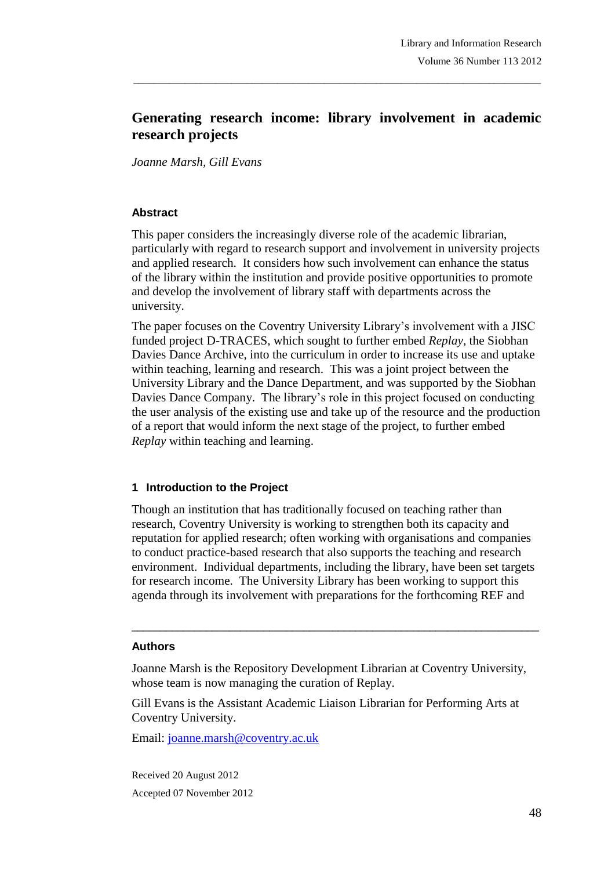# **Generating research income: library involvement in academic research projects**

\_\_\_\_\_\_\_\_\_\_\_\_\_\_\_\_\_\_\_\_\_\_\_\_\_\_\_\_\_\_\_\_\_\_\_\_\_\_\_\_\_\_\_\_\_\_\_\_\_\_\_\_\_\_\_\_\_\_\_\_\_\_\_\_\_\_\_\_\_\_\_\_\_\_\_\_\_\_\_

*Joanne Marsh, Gill Evans*

#### **Abstract**

This paper considers the increasingly diverse role of the academic librarian, particularly with regard to research support and involvement in university projects and applied research. It considers how such involvement can enhance the status of the library within the institution and provide positive opportunities to promote and develop the involvement of library staff with departments across the university.

The paper focuses on the Coventry University Library's involvement with a JISC funded project D-TRACES, which sought to further embed *Replay*, the Siobhan Davies Dance Archive, into the curriculum in order to increase its use and uptake within teaching, learning and research. This was a joint project between the University Library and the Dance Department, and was supported by the Siobhan Davies Dance Company. The library's role in this project focused on conducting the user analysis of the existing use and take up of the resource and the production of a report that would inform the next stage of the project, to further embed *Replay* within teaching and learning.

#### **1 Introduction to the Project**

Though an institution that has traditionally focused on teaching rather than research, Coventry University is working to strengthen both its capacity and reputation for applied research; often working with organisations and companies to conduct practice-based research that also supports the teaching and research environment. Individual departments, including the library, have been set targets for research income. The University Library has been working to support this agenda through its involvement with preparations for the forthcoming REF and

#### **Authors**

Joanne Marsh is the Repository Development Librarian at Coventry University, whose team is now managing the curation of Replay.

\_\_\_\_\_\_\_\_\_\_\_\_\_\_\_\_\_\_\_\_\_\_\_\_\_\_\_\_\_\_\_\_\_\_\_\_\_\_\_\_\_\_\_\_\_\_\_\_\_\_\_\_\_\_\_\_\_\_\_\_\_\_\_\_\_\_\_\_\_\_\_

Gill Evans is the Assistant Academic Liaison Librarian for Performing Arts at Coventry University.

Email: joanne.marsh@coventry.ac.uk

Received 20 August 2012 Accepted 07 November 2012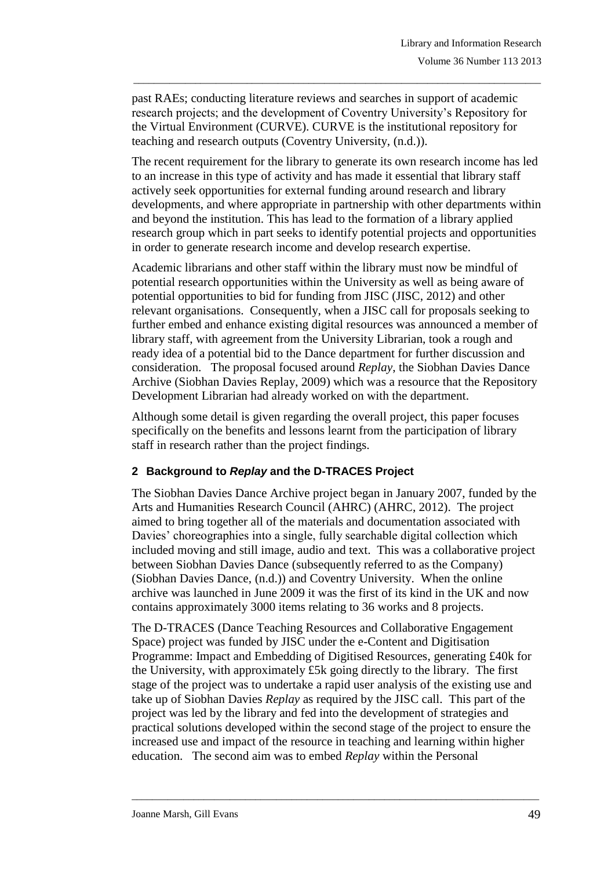past RAEs; conducting literature reviews and searches in support of academic research projects; and the development of Coventry University's Repository for the Virtual Environment (CURVE). CURVE is the institutional repository for teaching and research outputs (Coventry University, (n.d.)).

\_\_\_\_\_\_\_\_\_\_\_\_\_\_\_\_\_\_\_\_\_\_\_\_\_\_\_\_\_\_\_\_\_\_\_\_\_\_\_\_\_\_\_\_\_\_\_\_\_\_\_\_\_\_\_\_\_\_\_\_\_\_\_\_\_\_\_\_\_\_\_\_\_\_\_\_\_\_\_

The recent requirement for the library to generate its own research income has led to an increase in this type of activity and has made it essential that library staff actively seek opportunities for external funding around research and library developments, and where appropriate in partnership with other departments within and beyond the institution. This has lead to the formation of a library applied research group which in part seeks to identify potential projects and opportunities in order to generate research income and develop research expertise.

Academic librarians and other staff within the library must now be mindful of potential research opportunities within the University as well as being aware of potential opportunities to bid for funding from JISC (JISC, 2012) and other relevant organisations. Consequently, when a JISC call for proposals seeking to further embed and enhance existing digital resources was announced a member of library staff, with agreement from the University Librarian, took a rough and ready idea of a potential bid to the Dance department for further discussion and consideration. The proposal focused around *Replay*, the Siobhan Davies Dance Archive (Siobhan Davies Replay, 2009) which was a resource that the Repository Development Librarian had already worked on with the department.

Although some detail is given regarding the overall project, this paper focuses specifically on the benefits and lessons learnt from the participation of library staff in research rather than the project findings.

### **2 Background to** *Replay* **and the D-TRACES Project**

The Siobhan Davies Dance Archive project began in January 2007, funded by the Arts and Humanities Research Council (AHRC) (AHRC, 2012). The project aimed to bring together all of the materials and documentation associated with Davies' choreographies into a single, fully searchable digital collection which included moving and still image, audio and text. This was a collaborative project between Siobhan Davies Dance (subsequently referred to as the Company) (Siobhan Davies Dance, (n.d.)) and Coventry University. When the online archive was launched in June 2009 it was the first of its kind in the UK and now contains approximately 3000 items relating to 36 works and 8 projects.

The D-TRACES (Dance Teaching Resources and Collaborative Engagement Space) project was funded by JISC under the e-Content and Digitisation Programme: Impact and Embedding of Digitised Resources, generating £40k for the University, with approximately £5k going directly to the library. The first stage of the project was to undertake a rapid user analysis of the existing use and take up of Siobhan Davies *Replay* as required by the JISC call. This part of the project was led by the library and fed into the development of strategies and practical solutions developed within the second stage of the project to ensure the increased use and impact of the resource in teaching and learning within higher education. The second aim was to embed *Replay* within the Personal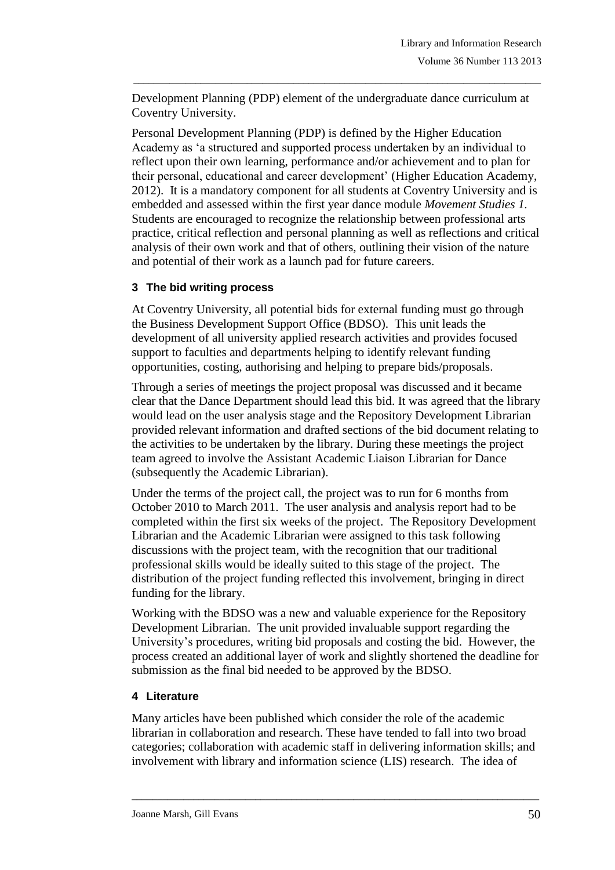Development Planning (PDP) element of the undergraduate dance curriculum at Coventry University.

\_\_\_\_\_\_\_\_\_\_\_\_\_\_\_\_\_\_\_\_\_\_\_\_\_\_\_\_\_\_\_\_\_\_\_\_\_\_\_\_\_\_\_\_\_\_\_\_\_\_\_\_\_\_\_\_\_\_\_\_\_\_\_\_\_\_\_\_\_\_\_\_\_\_\_\_\_\_\_

Personal Development Planning (PDP) is defined by the Higher Education Academy as 'a structured and supported process undertaken by an individual to reflect upon their own learning, performance and/or achievement and to plan for their personal, educational and career development' (Higher Education Academy, 2012). It is a mandatory component for all students at Coventry University and is embedded and assessed within the first year dance module *Movement Studies 1.* Students are encouraged to recognize the relationship between professional arts practice, critical reflection and personal planning as well as reflections and critical analysis of their own work and that of others, outlining their vision of the nature and potential of their work as a launch pad for future careers.

# **3 The bid writing process**

At Coventry University, all potential bids for external funding must go through the Business Development Support Office (BDSO). This unit leads the development of all university applied research activities and provides focused support to faculties and departments helping to identify relevant funding opportunities, costing, authorising and helping to prepare bids/proposals.

Through a series of meetings the project proposal was discussed and it became clear that the Dance Department should lead this bid. It was agreed that the library would lead on the user analysis stage and the Repository Development Librarian provided relevant information and drafted sections of the bid document relating to the activities to be undertaken by the library. During these meetings the project team agreed to involve the Assistant Academic Liaison Librarian for Dance (subsequently the Academic Librarian).

Under the terms of the project call, the project was to run for 6 months from October 2010 to March 2011. The user analysis and analysis report had to be completed within the first six weeks of the project. The Repository Development Librarian and the Academic Librarian were assigned to this task following discussions with the project team, with the recognition that our traditional professional skills would be ideally suited to this stage of the project. The distribution of the project funding reflected this involvement, bringing in direct funding for the library.

Working with the BDSO was a new and valuable experience for the Repository Development Librarian. The unit provided invaluable support regarding the University's procedures, writing bid proposals and costing the bid. However, the process created an additional layer of work and slightly shortened the deadline for submission as the final bid needed to be approved by the BDSO.

### **4 Literature**

Many articles have been published which consider the role of the academic librarian in collaboration and research. These have tended to fall into two broad categories; collaboration with academic staff in delivering information skills; and involvement with library and information science (LIS) research. The idea of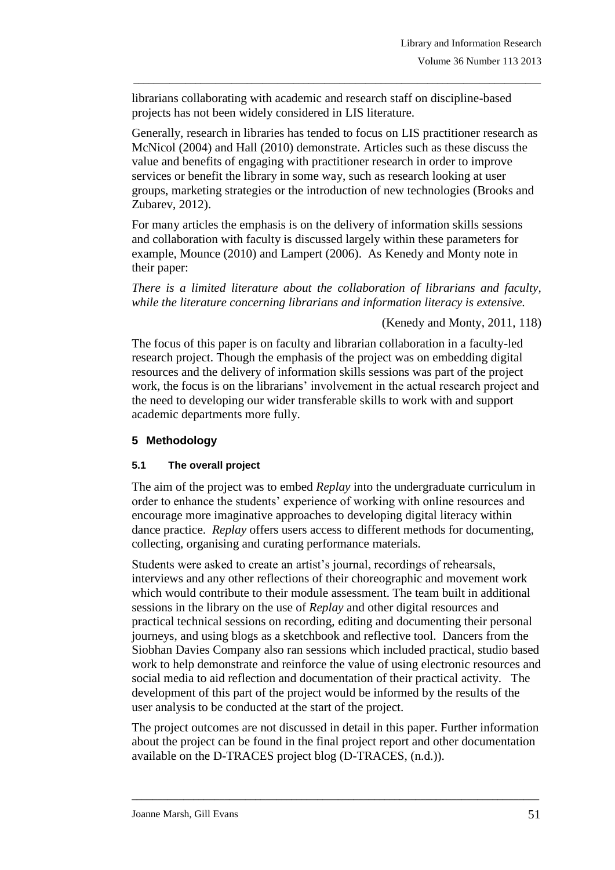librarians collaborating with academic and research staff on discipline-based projects has not been widely considered in LIS literature.

Generally, research in libraries has tended to focus on LIS practitioner research as McNicol (2004) and Hall (2010) demonstrate. Articles such as these discuss the value and benefits of engaging with practitioner research in order to improve services or benefit the library in some way, such as research looking at user groups, marketing strategies or the introduction of new technologies (Brooks and Zubarev, 2012).

\_\_\_\_\_\_\_\_\_\_\_\_\_\_\_\_\_\_\_\_\_\_\_\_\_\_\_\_\_\_\_\_\_\_\_\_\_\_\_\_\_\_\_\_\_\_\_\_\_\_\_\_\_\_\_\_\_\_\_\_\_\_\_\_\_\_\_\_\_\_\_\_\_\_\_\_\_\_\_

For many articles the emphasis is on the delivery of information skills sessions and collaboration with faculty is discussed largely within these parameters for example, Mounce (2010) and Lampert (2006). As Kenedy and Monty note in their paper:

*There is a limited literature about the collaboration of librarians and faculty, while the literature concerning librarians and information literacy is extensive.*

### (Kenedy and Monty, 2011, 118)

The focus of this paper is on faculty and librarian collaboration in a faculty-led research project. Though the emphasis of the project was on embedding digital resources and the delivery of information skills sessions was part of the project work, the focus is on the librarians' involvement in the actual research project and the need to developing our wider transferable skills to work with and support academic departments more fully.

### **5 Methodology**

### **5.1 The overall project**

The aim of the project was to embed *Replay* into the undergraduate curriculum in order to enhance the students' experience of working with online resources and encourage more imaginative approaches to developing digital literacy within dance practice. *Replay* offers users access to different methods for documenting, collecting, organising and curating performance materials.

Students were asked to create an artist's journal, recordings of rehearsals, interviews and any other reflections of their choreographic and movement work which would contribute to their module assessment. The team built in additional sessions in the library on the use of *Replay* and other digital resources and practical technical sessions on recording, editing and documenting their personal journeys, and using blogs as a sketchbook and reflective tool. Dancers from the Siobhan Davies Company also ran sessions which included practical, studio based work to help demonstrate and reinforce the value of using electronic resources and social media to aid reflection and documentation of their practical activity. The development of this part of the project would be informed by the results of the user analysis to be conducted at the start of the project.

The project outcomes are not discussed in detail in this paper. Further information about the project can be found in the final project report and other documentation available on the D-TRACES project blog (D-TRACES, (n.d.)).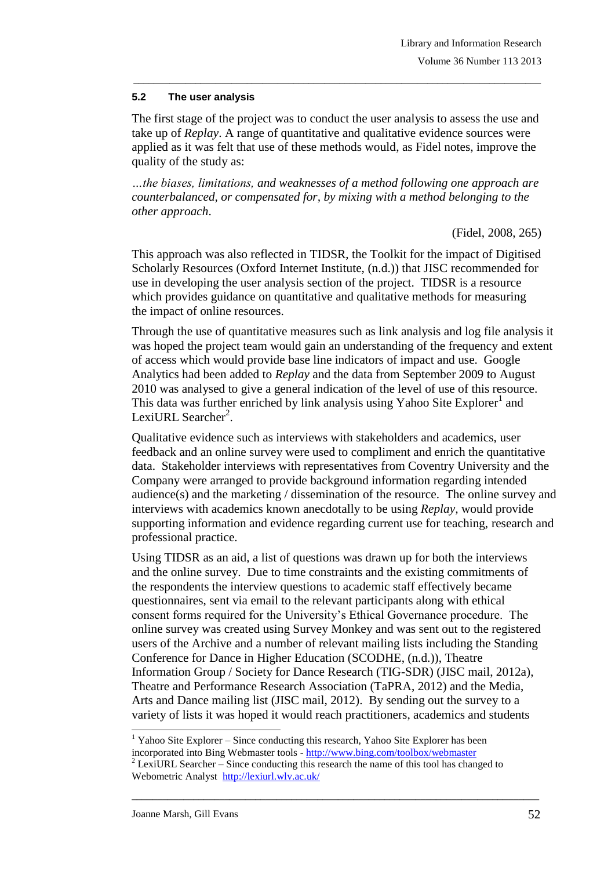### **5.2 The user analysis**

The first stage of the project was to conduct the user analysis to assess the use and take up of *Replay*. A range of quantitative and qualitative evidence sources were applied as it was felt that use of these methods would, as Fidel notes, improve the quality of the study as:

\_\_\_\_\_\_\_\_\_\_\_\_\_\_\_\_\_\_\_\_\_\_\_\_\_\_\_\_\_\_\_\_\_\_\_\_\_\_\_\_\_\_\_\_\_\_\_\_\_\_\_\_\_\_\_\_\_\_\_\_\_\_\_\_\_\_\_\_\_\_\_\_\_\_\_\_\_\_\_

*…the biases, limitations, and weaknesses of a method following one approach are counterbalanced, or compensated for, by mixing with a method belonging to the other approach*.

(Fidel, 2008, 265)

This approach was also reflected in TIDSR, the Toolkit for the impact of Digitised Scholarly Resources (Oxford Internet Institute, (n.d.)) that JISC recommended for use in developing the user analysis section of the project. TIDSR is a resource which provides guidance on quantitative and qualitative methods for measuring the impact of online resources.

Through the use of quantitative measures such as link analysis and log file analysis it was hoped the project team would gain an understanding of the frequency and extent of access which would provide base line indicators of impact and use. Google Analytics had been added to *Replay* and the data from September 2009 to August 2010 was analysed to give a general indication of the level of use of this resource. This data was further enriched by link analysis using Yahoo Site Explorer<sup>1</sup> and LexiURL Searcher<sup>2</sup>.

Qualitative evidence such as interviews with stakeholders and academics, user feedback and an online survey were used to compliment and enrich the quantitative data. Stakeholder interviews with representatives from Coventry University and the Company were arranged to provide background information regarding intended audience(s) and the marketing / dissemination of the resource. The online survey and interviews with academics known anecdotally to be using *Replay,* would provide supporting information and evidence regarding current use for teaching, research and professional practice.

Using TIDSR as an aid, a list of questions was drawn up for both the interviews and the online survey. Due to time constraints and the existing commitments of the respondents the interview questions to academic staff effectively became questionnaires, sent via email to the relevant participants along with ethical consent forms required for the University's Ethical Governance procedure. The online survey was created using Survey Monkey and was sent out to the registered users of the Archive and a number of relevant mailing lists including the Standing Conference for Dance in Higher Education (SCODHE, (n.d.)), Theatre Information Group / Society for Dance Research (TIG-SDR) (JISC mail, 2012a), Theatre and Performance Research Association (TaPRA, 2012) and the Media, Arts and Dance mailing list (JISC mail, 2012). By sending out the survey to a variety of lists it was hoped it would reach practitioners, academics and students

<sup>1</sup>  $1$  Yahoo Site Explorer – Since conducting this research, Yahoo Site Explorer has been incorporated into Bing Webmaster tools - <http://www.bing.com/toolbox/webmaster>

 $2$  LexiURL Searcher – Since conducting this research the name of this tool has changed to Webometric Analyst <http://lexiurl.wlv.ac.uk/>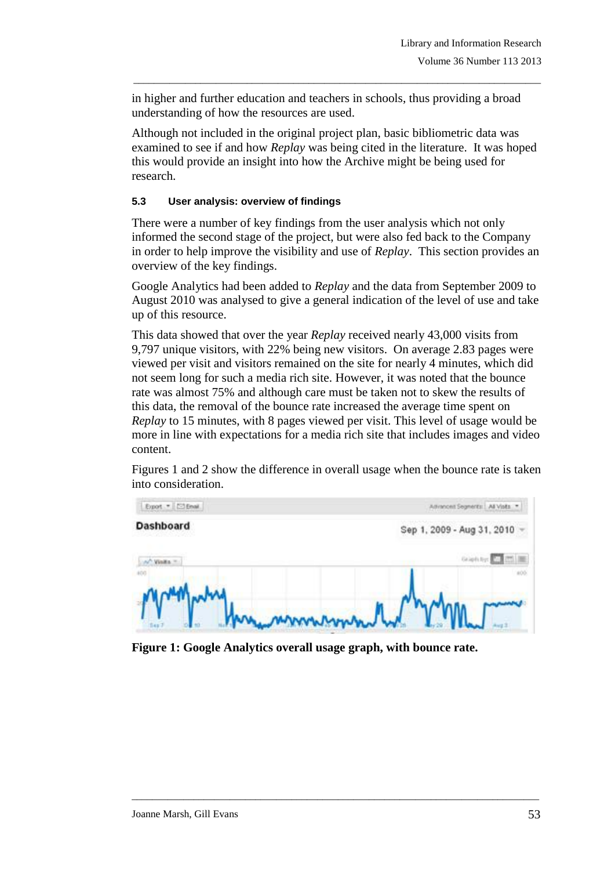in higher and further education and teachers in schools, thus providing a broad understanding of how the resources are used.

\_\_\_\_\_\_\_\_\_\_\_\_\_\_\_\_\_\_\_\_\_\_\_\_\_\_\_\_\_\_\_\_\_\_\_\_\_\_\_\_\_\_\_\_\_\_\_\_\_\_\_\_\_\_\_\_\_\_\_\_\_\_\_\_\_\_\_\_\_\_\_\_\_\_\_\_\_\_\_

Although not included in the original project plan, basic bibliometric data was examined to see if and how *Replay* was being cited in the literature. It was hoped this would provide an insight into how the Archive might be being used for research.

#### **5.3 User analysis: overview of findings**

There were a number of key findings from the user analysis which not only informed the second stage of the project, but were also fed back to the Company in order to help improve the visibility and use of *Replay*. This section provides an overview of the key findings.

Google Analytics had been added to *Replay* and the data from September 2009 to August 2010 was analysed to give a general indication of the level of use and take up of this resource.

This data showed that over the year *Replay* received nearly 43,000 visits from 9,797 unique visitors, with 22% being new visitors. On average 2.83 pages were viewed per visit and visitors remained on the site for nearly 4 minutes, which did not seem long for such a media rich site. However, it was noted that the bounce rate was almost 75% and although care must be taken not to skew the results of this data, the removal of the bounce rate increased the average time spent on *Replay* to 15 minutes, with 8 pages viewed per visit. This level of usage would be more in line with expectations for a media rich site that includes images and video content.

Figures 1 and 2 show the difference in overall usage when the bounce rate is taken into consideration.



**Figure 1: Google Analytics overall usage graph, with bounce rate.**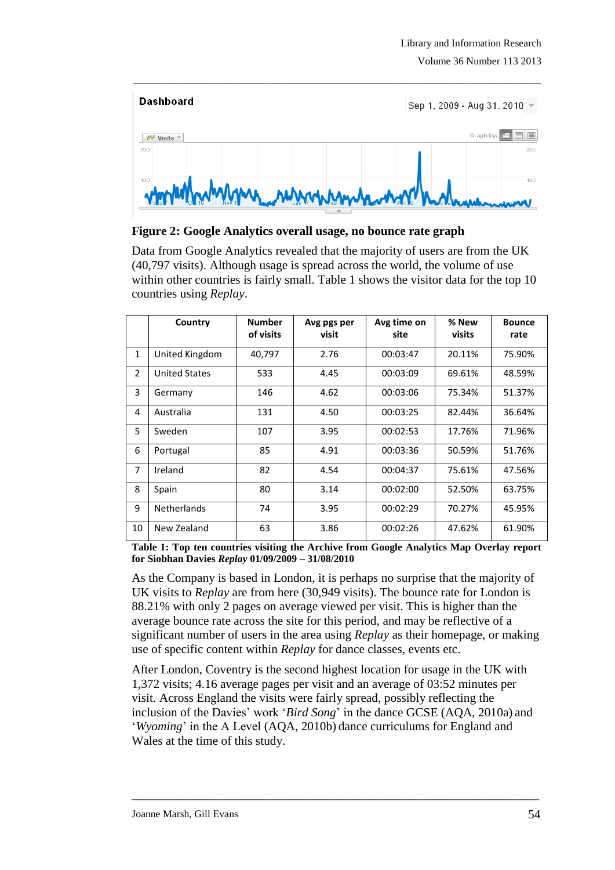

#### **Figure 2: Google Analytics overall usage, no bounce rate graph**

Data from Google Analytics revealed that the majority of users are from the UK (40,797 visits). Although usage is spread across the world, the volume of use within other countries is fairly small. Table 1 shows the visitor data for the top 10 countries using *Replay*.

|                | Country              | <b>Number</b><br>of visits | Avg pgs per<br>visit | Avg time on<br>site | % New<br>visits | <b>Bounce</b><br>rate |
|----------------|----------------------|----------------------------|----------------------|---------------------|-----------------|-----------------------|
| $\mathbf{1}$   | United Kingdom       | 40,797                     | 2.76                 | 00:03:47            | 20.11%          | 75.90%                |
| $\overline{2}$ | <b>United States</b> | 533                        | 4.45                 | 00:03:09            | 69.61%          | 48.59%                |
| 3              | Germany              | 146                        | 4.62                 | 00:03:06            | 75.34%          | 51.37%                |
| 4              | Australia            | 131                        | 4.50                 | 00:03:25            | 82.44%          | 36.64%                |
| 5              | Sweden               | 107                        | 3.95                 | 00:02:53            | 17.76%          | 71.96%                |
| 6              | Portugal             | 85                         | 4.91                 | 00:03:36            | 50.59%          | 51.76%                |
| 7              | Ireland              | 82                         | 4.54                 | 00:04:37            | 75.61%          | 47.56%                |
| 8              | Spain                | 80                         | 3.14                 | 00:02:00            | 52.50%          | 63.75%                |
| 9              | <b>Netherlands</b>   | 74                         | 3.95                 | 00:02:29            | 70.27%          | 45.95%                |
| 10             | New Zealand          | 63                         | 3.86                 | 00:02:26            | 47.62%          | 61.90%                |

**Table 1: Top ten countries visiting the Archive from Google Analytics Map Overlay report for Siobhan Davies** *Replay* **01/09/2009 – 31/08/2010**

As the Company is based in London, it is perhaps no surprise that the majority of UK visits to *Replay* are from here (30,949 visits). The bounce rate for London is 88.21% with only 2 pages on average viewed per visit. This is higher than the average bounce rate across the site for this period, and may be reflective of a significant number of users in the area using *Replay* as their homepage, or making use of specific content within *Replay* for dance classes, events etc.

After London, Coventry is the second highest location for usage in the UK with 1,372 visits; 4.16 average pages per visit and an average of 03:52 minutes per visit. Across England the visits were fairly spread, possibly reflecting the inclusion of the Davies' work '*Bird Song*' in the dance GCSE (AQA, 2010a) and '*Wyoming*' in the A Level (AQA, 2010b) dance curriculums for England and Wales at the time of this study.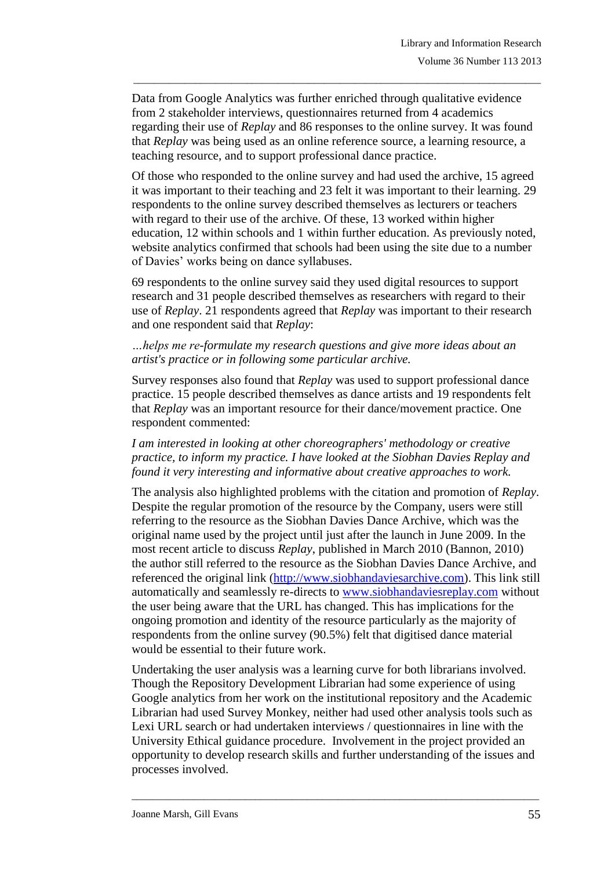Data from Google Analytics was further enriched through qualitative evidence from 2 stakeholder interviews, questionnaires returned from 4 academics regarding their use of *Replay* and 86 responses to the online survey. It was found that *Replay* was being used as an online reference source, a learning resource, a teaching resource, and to support professional dance practice.

\_\_\_\_\_\_\_\_\_\_\_\_\_\_\_\_\_\_\_\_\_\_\_\_\_\_\_\_\_\_\_\_\_\_\_\_\_\_\_\_\_\_\_\_\_\_\_\_\_\_\_\_\_\_\_\_\_\_\_\_\_\_\_\_\_\_\_\_\_\_\_\_\_\_\_\_\_\_\_

Of those who responded to the online survey and had used the archive, 15 agreed it was important to their teaching and 23 felt it was important to their learning. 29 respondents to the online survey described themselves as lecturers or teachers with regard to their use of the archive. Of these, 13 worked within higher education, 12 within schools and 1 within further education. As previously noted, website analytics confirmed that schools had been using the site due to a number of Davies' works being on dance syllabuses.

69 respondents to the online survey said they used digital resources to support research and 31 people described themselves as researchers with regard to their use of *Replay*. 21 respondents agreed that *Replay* was important to their research and one respondent said that *Replay*:

#### *…helps me re-formulate my research questions and give more ideas about an artist's practice or in following some particular archive.*

Survey responses also found that *Replay* was used to support professional dance practice. 15 people described themselves as dance artists and 19 respondents felt that *Replay* was an important resource for their dance/movement practice. One respondent commented:

*I am interested in looking at other choreographers' methodology or creative practice, to inform my practice. I have looked at the Siobhan Davies Replay and found it very interesting and informative about creative approaches to work.*

The analysis also highlighted problems with the citation and promotion of *Replay*. Despite the regular promotion of the resource by the Company, users were still referring to the resource as the Siobhan Davies Dance Archive, which was the original name used by the project until just after the launch in June 2009. In the most recent article to discuss *Replay*, published in March 2010 (Bannon, 2010) the author still referred to the resource as the Siobhan Davies Dance Archive, and referenced the original link (http://www.siobhandaviesarchive.com). This link still automatically and seamlessly re-directs to www.siobhandaviesreplay.com without the user being aware that the URL has changed. This has implications for the ongoing promotion and identity of the resource particularly as the majority of respondents from the online survey (90.5%) felt that digitised dance material would be essential to their future work.

Undertaking the user analysis was a learning curve for both librarians involved. Though the Repository Development Librarian had some experience of using Google analytics from her work on the institutional repository and the Academic Librarian had used Survey Monkey, neither had used other analysis tools such as Lexi URL search or had undertaken interviews / questionnaires in line with the University Ethical guidance procedure. Involvement in the project provided an opportunity to develop research skills and further understanding of the issues and processes involved.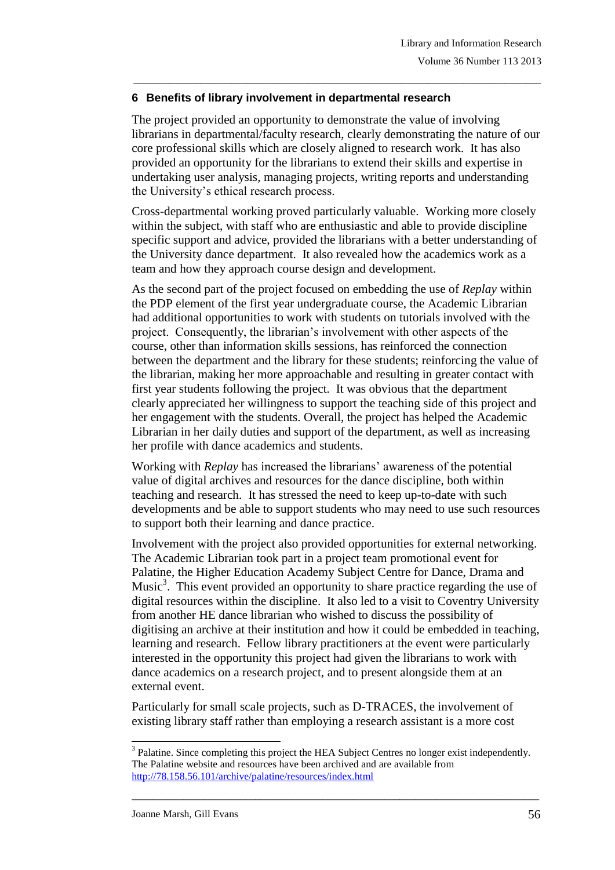### **6 Benefits of library involvement in departmental research**

The project provided an opportunity to demonstrate the value of involving librarians in departmental/faculty research, clearly demonstrating the nature of our core professional skills which are closely aligned to research work. It has also provided an opportunity for the librarians to extend their skills and expertise in undertaking user analysis, managing projects, writing reports and understanding the University's ethical research process.

\_\_\_\_\_\_\_\_\_\_\_\_\_\_\_\_\_\_\_\_\_\_\_\_\_\_\_\_\_\_\_\_\_\_\_\_\_\_\_\_\_\_\_\_\_\_\_\_\_\_\_\_\_\_\_\_\_\_\_\_\_\_\_\_\_\_\_\_\_\_\_\_\_\_\_\_\_\_\_

Cross-departmental working proved particularly valuable. Working more closely within the subject, with staff who are enthusiastic and able to provide discipline specific support and advice, provided the librarians with a better understanding of the University dance department. It also revealed how the academics work as a team and how they approach course design and development.

As the second part of the project focused on embedding the use of *Replay* within the PDP element of the first year undergraduate course, the Academic Librarian had additional opportunities to work with students on tutorials involved with the project. Consequently, the librarian's involvement with other aspects of the course, other than information skills sessions, has reinforced the connection between the department and the library for these students; reinforcing the value of the librarian, making her more approachable and resulting in greater contact with first year students following the project. It was obvious that the department clearly appreciated her willingness to support the teaching side of this project and her engagement with the students. Overall, the project has helped the Academic Librarian in her daily duties and support of the department, as well as increasing her profile with dance academics and students.

Working with *Replay* has increased the librarians' awareness of the potential value of digital archives and resources for the dance discipline, both within teaching and research. It has stressed the need to keep up-to-date with such developments and be able to support students who may need to use such resources to support both their learning and dance practice.

Involvement with the project also provided opportunities for external networking. The Academic Librarian took part in a project team promotional event for Palatine, the Higher Education Academy Subject Centre for Dance, Drama and Music<sup>3</sup>. This event provided an opportunity to share practice regarding the use of digital resources within the discipline. It also led to a visit to Coventry University from another HE dance librarian who wished to discuss the possibility of digitising an archive at their institution and how it could be embedded in teaching, learning and research. Fellow library practitioners at the event were particularly interested in the opportunity this project had given the librarians to work with dance academics on a research project, and to present alongside them at an external event.

Particularly for small scale projects, such as D-TRACES, the involvement of existing library staff rather than employing a research assistant is a more cost

<sup>-</sup> $3$  Palatine. Since completing this project the HEA Subject Centres no longer exist independently. The Palatine website and resources have been archived and are available from <http://78.158.56.101/archive/palatine/resources/index.html>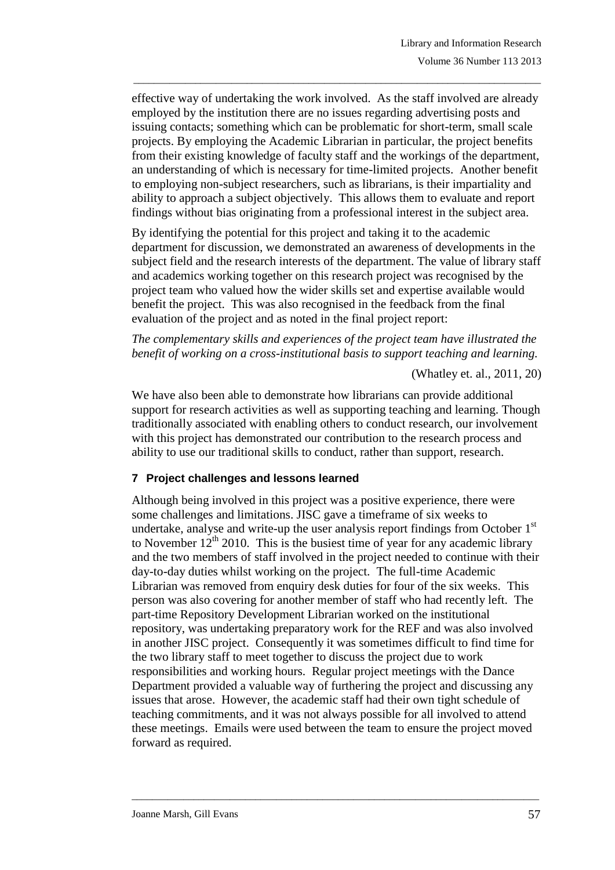effective way of undertaking the work involved. As the staff involved are already employed by the institution there are no issues regarding advertising posts and issuing contacts; something which can be problematic for short-term, small scale projects. By employing the Academic Librarian in particular, the project benefits from their existing knowledge of faculty staff and the workings of the department, an understanding of which is necessary for time-limited projects. Another benefit to employing non-subject researchers, such as librarians, is their impartiality and ability to approach a subject objectively. This allows them to evaluate and report findings without bias originating from a professional interest in the subject area.

\_\_\_\_\_\_\_\_\_\_\_\_\_\_\_\_\_\_\_\_\_\_\_\_\_\_\_\_\_\_\_\_\_\_\_\_\_\_\_\_\_\_\_\_\_\_\_\_\_\_\_\_\_\_\_\_\_\_\_\_\_\_\_\_\_\_\_\_\_\_\_\_\_\_\_\_\_\_\_

By identifying the potential for this project and taking it to the academic department for discussion, we demonstrated an awareness of developments in the subject field and the research interests of the department. The value of library staff and academics working together on this research project was recognised by the project team who valued how the wider skills set and expertise available would benefit the project. This was also recognised in the feedback from the final evaluation of the project and as noted in the final project report:

*The complementary skills and experiences of the project team have illustrated the benefit of working on a cross-institutional basis to support teaching and learning.*

(Whatley et. al., 2011, 20)

We have also been able to demonstrate how librarians can provide additional support for research activities as well as supporting teaching and learning. Though traditionally associated with enabling others to conduct research, our involvement with this project has demonstrated our contribution to the research process and ability to use our traditional skills to conduct, rather than support, research.

#### **7 Project challenges and lessons learned**

Although being involved in this project was a positive experience, there were some challenges and limitations. JISC gave a timeframe of six weeks to undertake, analyse and write-up the user analysis report findings from October 1<sup>st</sup> to November  $12^{th}$  2010. This is the busiest time of year for any academic library and the two members of staff involved in the project needed to continue with their day-to-day duties whilst working on the project. The full-time Academic Librarian was removed from enquiry desk duties for four of the six weeks. This person was also covering for another member of staff who had recently left. The part-time Repository Development Librarian worked on the institutional repository, was undertaking preparatory work for the REF and was also involved in another JISC project. Consequently it was sometimes difficult to find time for the two library staff to meet together to discuss the project due to work responsibilities and working hours. Regular project meetings with the Dance Department provided a valuable way of furthering the project and discussing any issues that arose. However, the academic staff had their own tight schedule of teaching commitments, and it was not always possible for all involved to attend these meetings. Emails were used between the team to ensure the project moved forward as required.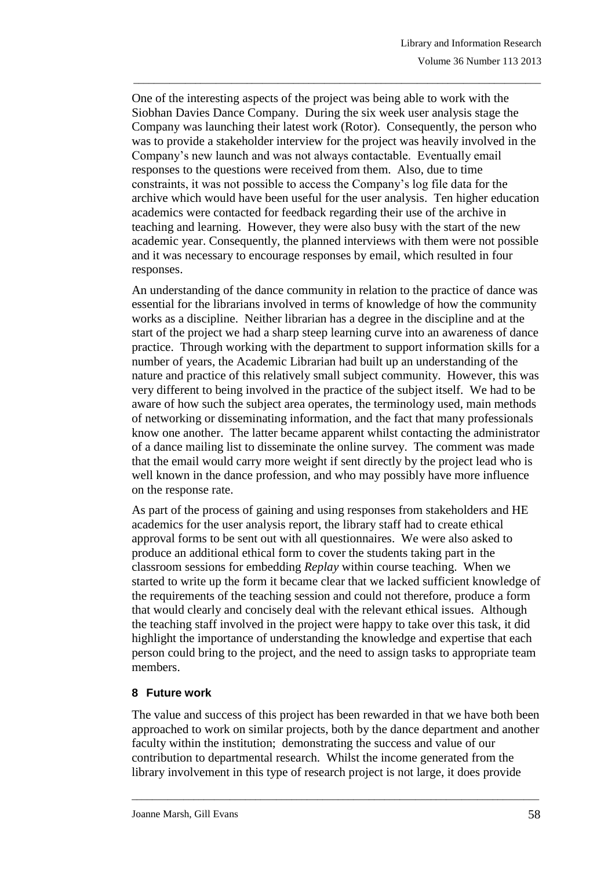One of the interesting aspects of the project was being able to work with the Siobhan Davies Dance Company. During the six week user analysis stage the Company was launching their latest work (Rotor). Consequently, the person who was to provide a stakeholder interview for the project was heavily involved in the Company's new launch and was not always contactable. Eventually email responses to the questions were received from them. Also, due to time constraints, it was not possible to access the Company's log file data for the archive which would have been useful for the user analysis. Ten higher education academics were contacted for feedback regarding their use of the archive in teaching and learning. However, they were also busy with the start of the new academic year. Consequently, the planned interviews with them were not possible and it was necessary to encourage responses by email, which resulted in four responses.

\_\_\_\_\_\_\_\_\_\_\_\_\_\_\_\_\_\_\_\_\_\_\_\_\_\_\_\_\_\_\_\_\_\_\_\_\_\_\_\_\_\_\_\_\_\_\_\_\_\_\_\_\_\_\_\_\_\_\_\_\_\_\_\_\_\_\_\_\_\_\_\_\_\_\_\_\_\_\_

An understanding of the dance community in relation to the practice of dance was essential for the librarians involved in terms of knowledge of how the community works as a discipline. Neither librarian has a degree in the discipline and at the start of the project we had a sharp steep learning curve into an awareness of dance practice. Through working with the department to support information skills for a number of years, the Academic Librarian had built up an understanding of the nature and practice of this relatively small subject community. However, this was very different to being involved in the practice of the subject itself. We had to be aware of how such the subject area operates, the terminology used, main methods of networking or disseminating information, and the fact that many professionals know one another. The latter became apparent whilst contacting the administrator of a dance mailing list to disseminate the online survey. The comment was made that the email would carry more weight if sent directly by the project lead who is well known in the dance profession, and who may possibly have more influence on the response rate.

As part of the process of gaining and using responses from stakeholders and HE academics for the user analysis report, the library staff had to create ethical approval forms to be sent out with all questionnaires. We were also asked to produce an additional ethical form to cover the students taking part in the classroom sessions for embedding *Replay* within course teaching. When we started to write up the form it became clear that we lacked sufficient knowledge of the requirements of the teaching session and could not therefore, produce a form that would clearly and concisely deal with the relevant ethical issues. Although the teaching staff involved in the project were happy to take over this task, it did highlight the importance of understanding the knowledge and expertise that each person could bring to the project, and the need to assign tasks to appropriate team members.

### **8 Future work**

The value and success of this project has been rewarded in that we have both been approached to work on similar projects, both by the dance department and another faculty within the institution; demonstrating the success and value of our contribution to departmental research. Whilst the income generated from the library involvement in this type of research project is not large, it does provide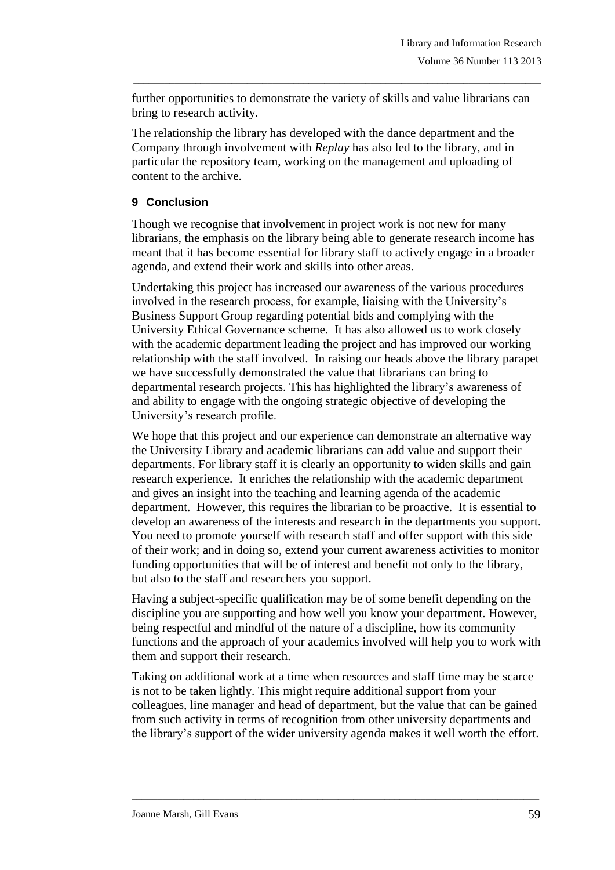further opportunities to demonstrate the variety of skills and value librarians can bring to research activity.

\_\_\_\_\_\_\_\_\_\_\_\_\_\_\_\_\_\_\_\_\_\_\_\_\_\_\_\_\_\_\_\_\_\_\_\_\_\_\_\_\_\_\_\_\_\_\_\_\_\_\_\_\_\_\_\_\_\_\_\_\_\_\_\_\_\_\_\_\_\_\_\_\_\_\_\_\_\_\_

The relationship the library has developed with the dance department and the Company through involvement with *Replay* has also led to the library, and in particular the repository team, working on the management and uploading of content to the archive.

## **9 Conclusion**

Though we recognise that involvement in project work is not new for many librarians, the emphasis on the library being able to generate research income has meant that it has become essential for library staff to actively engage in a broader agenda, and extend their work and skills into other areas.

Undertaking this project has increased our awareness of the various procedures involved in the research process, for example, liaising with the University's Business Support Group regarding potential bids and complying with the University Ethical Governance scheme. It has also allowed us to work closely with the academic department leading the project and has improved our working relationship with the staff involved. In raising our heads above the library parapet we have successfully demonstrated the value that librarians can bring to departmental research projects. This has highlighted the library's awareness of and ability to engage with the ongoing strategic objective of developing the University's research profile.

We hope that this project and our experience can demonstrate an alternative way the University Library and academic librarians can add value and support their departments. For library staff it is clearly an opportunity to widen skills and gain research experience. It enriches the relationship with the academic department and gives an insight into the teaching and learning agenda of the academic department. However, this requires the librarian to be proactive. It is essential to develop an awareness of the interests and research in the departments you support. You need to promote yourself with research staff and offer support with this side of their work; and in doing so, extend your current awareness activities to monitor funding opportunities that will be of interest and benefit not only to the library, but also to the staff and researchers you support.

Having a subject-specific qualification may be of some benefit depending on the discipline you are supporting and how well you know your department. However, being respectful and mindful of the nature of a discipline, how its community functions and the approach of your academics involved will help you to work with them and support their research.

Taking on additional work at a time when resources and staff time may be scarce is not to be taken lightly. This might require additional support from your colleagues, line manager and head of department, but the value that can be gained from such activity in terms of recognition from other university departments and the library's support of the wider university agenda makes it well worth the effort.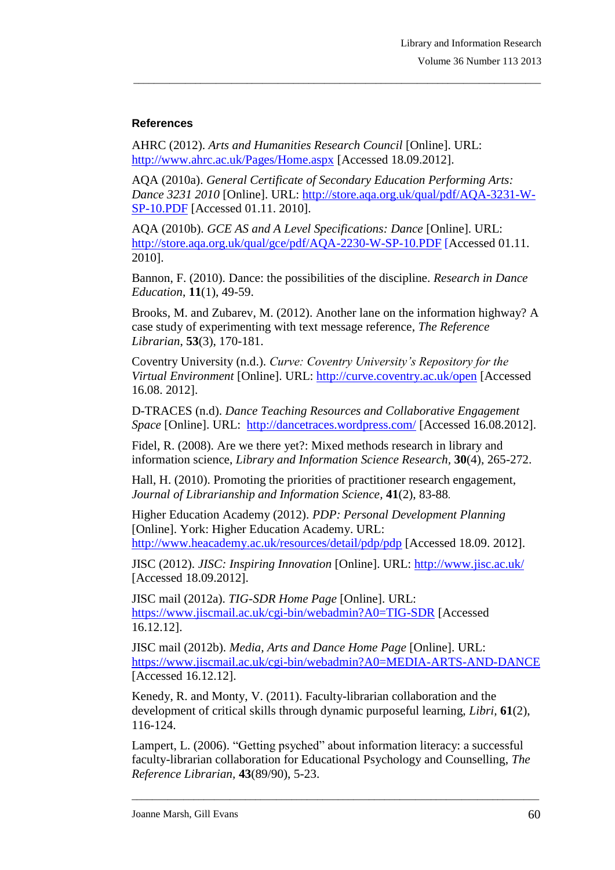### **References**

AHRC (2012). *Arts and Humanities Research Council* [Online]. URL: <http://www.ahrc.ac.uk/Pages/Home.aspx> [Accessed 18.09.2012].

AQA (2010a). *General Certificate of Secondary Education Performing Arts: Dance 3231 2010* [Online]. URL: [http://store.aqa.org.uk/qual/pdf/AQA-3231-W-](http://store.aqa.org.uk/qual/pdf/AQA-3231-W-SP-10.PDF)[SP-10.PDF](http://store.aqa.org.uk/qual/pdf/AQA-3231-W-SP-10.PDF) [Accessed 01.11. 2010].

\_\_\_\_\_\_\_\_\_\_\_\_\_\_\_\_\_\_\_\_\_\_\_\_\_\_\_\_\_\_\_\_\_\_\_\_\_\_\_\_\_\_\_\_\_\_\_\_\_\_\_\_\_\_\_\_\_\_\_\_\_\_\_\_\_\_\_\_\_\_\_\_\_\_\_\_\_\_\_

AQA (2010b). *GCE AS and A Level Specifications: Dance* [Online]. URL: <http://store.aqa.org.uk/qual/gce/pdf/AQA-2230-W-SP-10.PDF> [Accessed 01.11. 2010].

Bannon, F. (2010). Dance: the possibilities of the discipline. *Research in Dance Education*, **11**(1), 49-59.

Brooks, M. and Zubarev, M. (2012). Another lane on the information highway? A case study of experimenting with text message reference, *The Reference Librarian*, **53**(3), 170-181.

Coventry University (n.d.). *Curve: Coventry University's Repository for the Virtual Environment* [Online]. URL: <http://curve.coventry.ac.uk/open> [Accessed 16.08. 2012].

D-TRACES (n.d). *Dance Teaching Resources and Collaborative Engagement Space* [Online]. URL: <http://dancetraces.wordpress.com/> [Accessed 16.08.2012].

Fidel, R. (2008). Are we there yet?: Mixed methods research in library and information science, *Library and Information Science Research,* **30**(4), 265-272.

Hall, H. (2010). Promoting the priorities of practitioner research engagement, *Journal of Librarianship and Information Science,* **41**(2), 83-88.

Higher Education Academy (2012). *PDP: Personal Development Planning* [Online]. York: Higher Education Academy. URL:

<http://www.heacademy.ac.uk/resources/detail/pdp/pdp> [Accessed 18.09. 2012].

JISC (2012). *JISC: Inspiring Innovation* [Online]. URL:<http://www.jisc.ac.uk/> [Accessed 18.09.2012].

JISC mail (2012a). *TIG-SDR Home Page* [Online]. URL: <https://www.jiscmail.ac.uk/cgi-bin/webadmin?A0=TIG-SDR> [Accessed 16.12.12].

JISC mail (2012b). *Media, Arts and Dance Home Page* [Online]. URL: <https://www.jiscmail.ac.uk/cgi-bin/webadmin?A0=MEDIA-ARTS-AND-DANCE> [Accessed 16.12.12].

Kenedy, R. and Monty, V. (2011). Faculty-librarian collaboration and the development of critical skills through dynamic purposeful learning, *Libri,* **61**(2), 116-124.

Lampert, L. (2006). "Getting psyched" about information literacy: a successful faculty-librarian collaboration for Educational Psychology and Counselling, *The Reference Librarian,* **43**(89/90), 5-23.